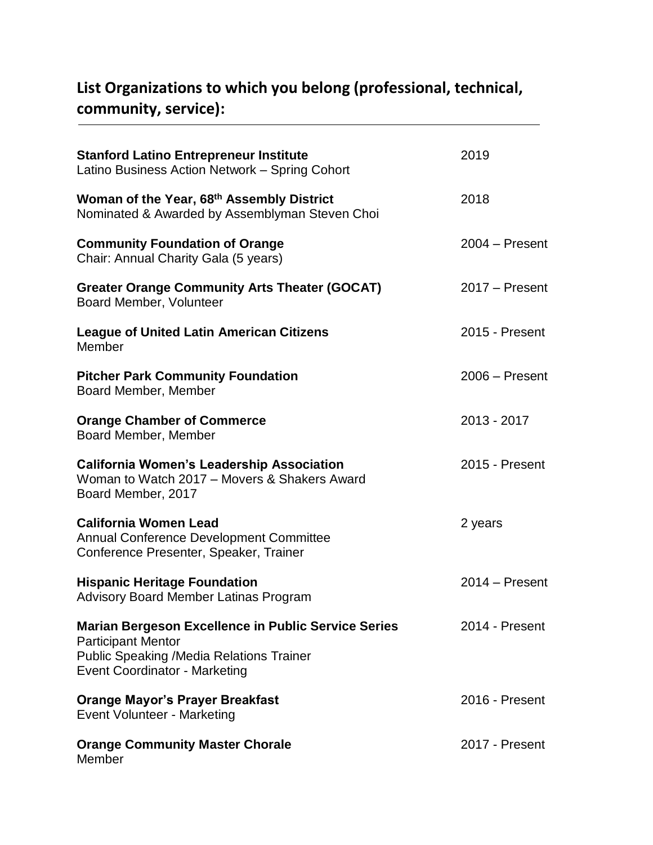## **List Organizations to which you belong (professional, technical, community, service):**

| <b>Stanford Latino Entrepreneur Institute</b><br>Latino Business Action Network - Spring Cohort                                                                                    | 2019             |
|------------------------------------------------------------------------------------------------------------------------------------------------------------------------------------|------------------|
| Woman of the Year, 68th Assembly District<br>Nominated & Awarded by Assemblyman Steven Choi                                                                                        | 2018             |
| <b>Community Foundation of Orange</b><br>Chair: Annual Charity Gala (5 years)                                                                                                      | $2004 -$ Present |
| <b>Greater Orange Community Arts Theater (GOCAT)</b><br>Board Member, Volunteer                                                                                                    | $2017 -$ Present |
| <b>League of United Latin American Citizens</b><br>Member                                                                                                                          | 2015 - Present   |
| <b>Pitcher Park Community Foundation</b><br>Board Member, Member                                                                                                                   | $2006 -$ Present |
| <b>Orange Chamber of Commerce</b><br>Board Member, Member                                                                                                                          | 2013 - 2017      |
| <b>California Women's Leadership Association</b><br>Woman to Watch 2017 – Movers & Shakers Award<br>Board Member, 2017                                                             | 2015 - Present   |
| <b>California Women Lead</b><br><b>Annual Conference Development Committee</b><br>Conference Presenter, Speaker, Trainer                                                           | 2 years          |
| <b>Hispanic Heritage Foundation</b><br><b>Advisory Board Member Latinas Program</b>                                                                                                | $2014 -$ Present |
| <b>Marian Bergeson Excellence in Public Service Series</b><br><b>Participant Mentor</b><br><b>Public Speaking /Media Relations Trainer</b><br><b>Event Coordinator - Marketing</b> | 2014 - Present   |
| <b>Orange Mayor's Prayer Breakfast</b><br><b>Event Volunteer - Marketing</b>                                                                                                       | 2016 - Present   |
| <b>Orange Community Master Chorale</b><br>Member                                                                                                                                   | 2017 - Present   |